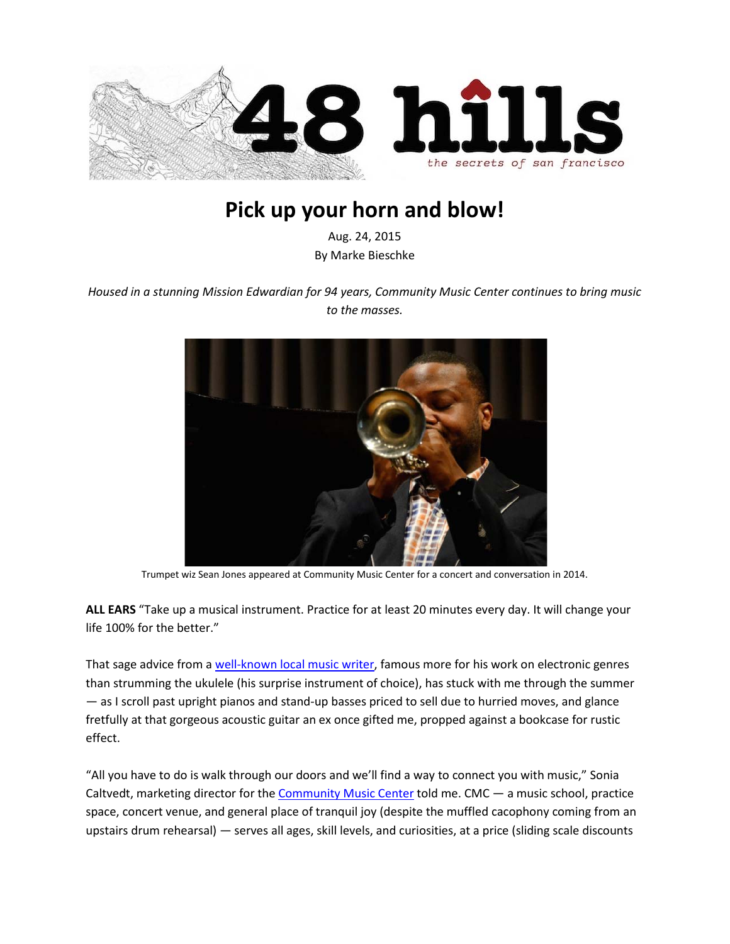

## **Pick up your horn and blow!**

Aug. 24, 2015 By Marke Bieschke

*Housed in a stunning Mission Edwardian for 94 years, Community Music Center continues to bring music to the masses.*



Trumpet wiz Sean Jones appeared at Community Music Center for a concert and conversation in 2014.

**ALL EARS** "Take up a musical instrument. Practice for at least 20 minutes every day. It will change your life 100% for the better."

That sage advice from a [well-known local music writer,](https://en.wikipedia.org/wiki/Marc_Weidenbaum) famous more for his work on electronic genres than strumming the ukulele (his surprise instrument of choice), has stuck with me through the summer — as I scroll past upright pianos and stand-up basses priced to sell due to hurried moves, and glance fretfully at that gorgeous acoustic guitar an ex once gifted me, propped against a bookcase for rustic effect.

"All you have to do is walk through our doors and we'll find a way to connect you with music," Sonia Caltvedt, marketing director for the [Community Music Center](http://sfcmc.org/) told me. CMC — a music school, practice space, concert venue, and general place of tranquil joy (despite the muffled cacophony coming from an upstairs drum rehearsal) — serves all ages, skill levels, and curiosities, at a price (sliding scale discounts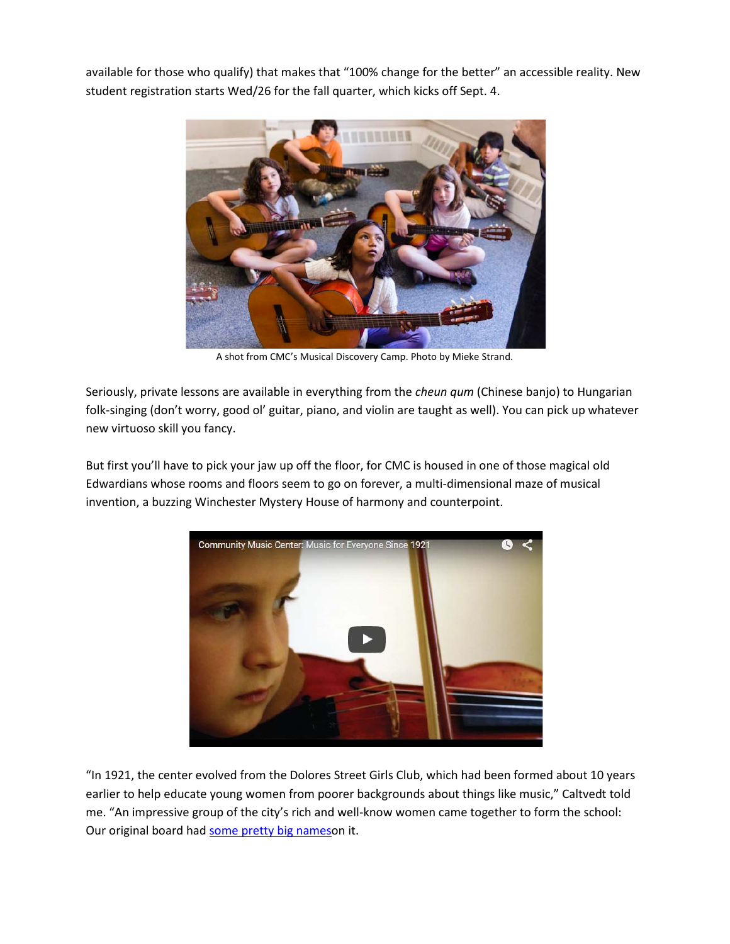available for those who qualify) that makes that "100% change for the better" an accessible reality. New student registration starts Wed/26 for the fall quarter, which kicks off Sept. 4.



A shot from CMC's Musical Discovery Camp. Photo by Mieke Strand.

Seriously, private lessons are available in everything from the *cheun qum* (Chinese banjo) to Hungarian folk-singing (don't worry, good ol' guitar, piano, and violin are taught as well). You can pick up whatever new virtuoso skill you fancy.

But first you'll have to pick your jaw up off the floor, for CMC is housed in one of those magical old Edwardians whose rooms and floors seem to go on forever, a multi-dimensional maze of musical invention, a buzzing Winchester Mystery House of harmony and counterpoint.



"In 1921, the center evolved from the Dolores Street Girls Club, which had been formed about 10 years earlier to help educate young women from poorer backgrounds about things like music," Caltvedt told me. "An impressive group of the city's rich and well-know women came together to form the school: Our original board had [some pretty big nameso](http://sfcmc.org/about/mission-and-history/)n it.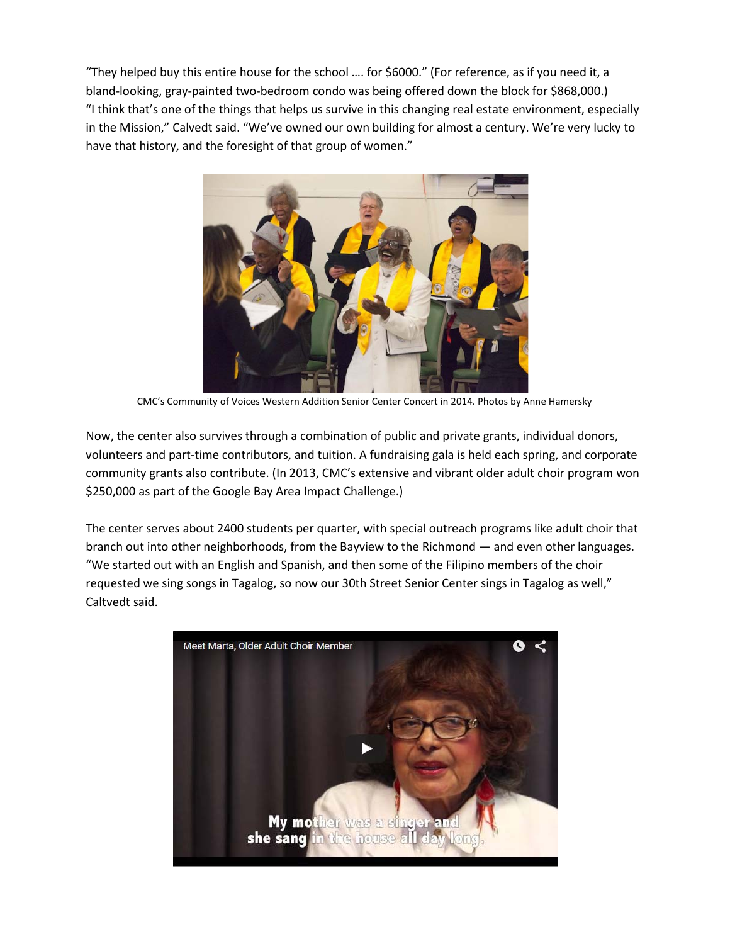"They helped buy this entire house for the school …. for \$6000." (For reference, as if you need it, a bland-looking, gray-painted two-bedroom condo was being offered down the block for \$868,000.) "I think that's one of the things that helps us survive in this changing real estate environment, especially in the Mission," Calvedt said. "We've owned our own building for almost a century. We're very lucky to have that history, and the foresight of that group of women."



CMC's Community of Voices Western Addition Senior Center Concert in 2014. Photos by Anne Hamersky

Now, the center also survives through a combination of public and private grants, individual donors, volunteers and part-time contributors, and tuition. A fundraising gala is held each spring, and corporate community grants also contribute. (In 2013, CMC's extensive and vibrant older adult choir program won \$250,000 as part of the Google Bay Area Impact Challenge.)

The center serves about 2400 students per quarter, with special outreach programs like adult choir that branch out into other neighborhoods, from the Bayview to the Richmond — and even other languages. "We started out with an English and Spanish, and then some of the Filipino members of the choir requested we sing songs in Tagalog, so now our 30th Street Senior Center sings in Tagalog as well," Caltvedt said.